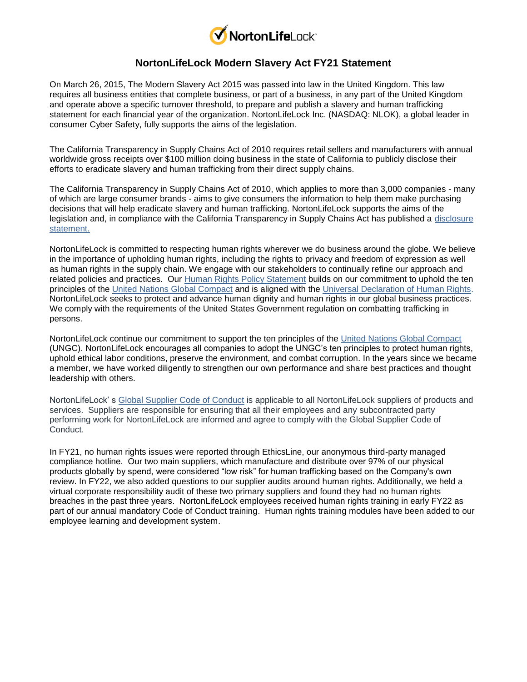

## **NortonLifeLock Modern Slavery Act FY21 Statement**

On March 26, 2015, The Modern Slavery Act 2015 was passed into law in the United Kingdom. This law requires all business entities that complete business, or part of a business, in any part of the United Kingdom and operate above a specific turnover threshold, to prepare and publish a slavery and human trafficking statement for each financial year of the organization. NortonLifeLock Inc. (NASDAQ: NLOK), a global leader in consumer Cyber Safety, fully supports the aims of the legislation.

The California Transparency in Supply Chains Act of 2010 requires retail sellers and manufacturers with annual worldwide gross receipts over \$100 million doing business in the state of California to publicly disclose their efforts to eradicate slavery and human trafficking from their direct supply chains.

The California Transparency in Supply Chains Act of 2010, which applies to more than 3,000 companies - many of which are large consumer brands - aims to give consumers the information to help them make purchasing decisions that will help eradicate slavery and human trafficking. NortonLifeLock supports the aims of the legislation and, in compliance with the California Transparency in Supply Chains Act has published a [disclosure](https://www.nortonlifelock.com/content/dam/nortonlifelock/pdfs/corporate-responsibility/corporate-responsibility-policies/cr-statement-of-disclosure-human-trafficking-and-slavery-en.doc)  [statement.](https://www.nortonlifelock.com/content/dam/nortonlifelock/pdfs/corporate-responsibility/corporate-responsibility-policies/cr-statement-of-disclosure-human-trafficking-and-slavery-en.doc)

NortonLifeLock is committed to respecting human rights wherever we do business around the globe. We believe in the importance of upholding human rights, including the rights to privacy and freedom of expression as well as human rights in the supply chain. We engage with our stakeholders to continually refine our approach and related policies and practices. Our [Human Rights Policy Statement](https://www.nortonlifelock.com/content/dam/nortonlifelock/pdfs/policies/human-rights-policy-en.pdf) builds on our commitment to uphold the ten principles of the [United Nations Global Compact](http://www.unglobalcompact.org/) and is aligned with the [Universal Declaration of Human Rights.](http://www.un.org/en/documents/udhr/) NortonLifeLock seeks to protect and advance human dignity and human rights in our global business practices. We comply with the requirements of the United States Government regulation on combatting trafficking in persons.

NortonLifeLock continue our commitment to support the ten principles of the [United Nations Global Compact](http://www.unglobalcompact.org/) (UNGC). NortonLifeLock encourages all companies to adopt the UNGC's ten principles to protect human rights, uphold ethical labor conditions, preserve the environment, and combat corruption. In the years since we became a member, we have worked diligently to strengthen our own performance and share best practices and thought leadership with others.

NortonLifeLock' s [Global Supplier Code of Conduct](https://www.nortonlifelock.com/us/en/procurement/code-of-conduct/) is applicable to all NortonLifeLock suppliers of products and services. Suppliers are responsible for ensuring that all their employees and any subcontracted party performing work for NortonLifeLock are informed and agree to comply with the Global Supplier Code of Conduct.

In FY21, no human rights issues were reported through EthicsLine, our anonymous third-party managed compliance hotline. Our two main suppliers, which manufacture and distribute over 97% of our physical products globally by spend, were considered "low risk" for human trafficking based on the Company's own review. In FY22, we also added questions to our supplier audits around human rights. Additionally, we held a virtual corporate responsibility audit of these two primary suppliers and found they had no human rights breaches in the past three years. NortonLifeLock employees received human rights training in early FY22 as part of our annual mandatory Code of Conduct training. Human rights training modules have been added to our employee learning and development system.